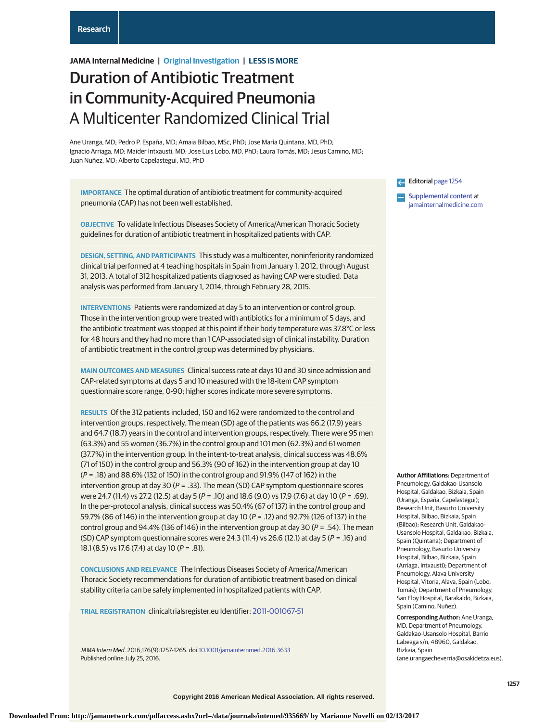# **JAMA Internal Medicine | Original Investigation | LESS IS MORE**

# Duration of Antibiotic Treatment in Community-Acquired Pneumonia A Multicenter Randomized Clinical Trial

Ane Uranga, MD; Pedro P. España, MD; Amaia Bilbao, MSc, PhD; Jose María Quintana, MD, PhD; Ignacio Arriaga, MD; Maider Intxausti, MD; Jose Luis Lobo, MD, PhD; Laura Tomás, MD; Jesus Camino, MD; Juan Nuñez, MD; Alberto Capelastegui, MD, PhD

**IMPORTANCE** The optimal duration of antibiotic treatment for community-acquired pneumonia (CAP) has not been well established.

**OBJECTIVE** To validate Infectious Diseases Society of America/American Thoracic Society guidelines for duration of antibiotic treatment in hospitalized patients with CAP.

**DESIGN, SETTING, AND PARTICIPANTS** This study was a multicenter, noninferiority randomized clinical trial performed at 4 teaching hospitals in Spain from January 1, 2012, through August 31, 2013. A total of 312 hospitalized patients diagnosed as having CAP were studied. Data analysis was performed from January 1, 2014, through February 28, 2015.

**INTERVENTIONS** Patients were randomized at day 5 to an intervention or control group. Those in the intervention group were treated with antibiotics for a minimum of 5 days, and the antibiotic treatment was stopped at this point if their body temperature was 37.8°C or less for 48 hours and they had no more than 1 CAP-associated sign of clinical instability. Duration of antibiotic treatment in the control group was determined by physicians.

**MAIN OUTCOMES AND MEASURES** Clinical success rate at days 10 and 30 since admission and CAP-related symptoms at days 5 and 10 measured with the 18-item CAP symptom questionnaire score range, 0-90; higher scores indicate more severe symptoms.

**RESULTS** Of the 312 patients included, 150 and 162 were randomized to the control and intervention groups, respectively. The mean (SD) age of the patients was 66.2 (17.9) years and 64.7 (18.7) years in the control and intervention groups, respectively. There were 95 men (63.3%) and 55 women (36.7%) in the control group and 101 men (62.3%) and 61 women (37.7%) in the intervention group. In the intent-to-treat analysis, clinical success was 48.6% (71 of 150) in the control group and 56.3% (90 of 162) in the intervention group at day 10 (P = .18) and 88.6% (132 of 150) in the control group and 91.9% (147 of 162) in the intervention group at day 30 ( $P = .33$ ). The mean (SD) CAP symptom questionnaire scores were 24.7 (11.4) vs 27.2 (12.5) at day 5 (P = .10) and 18.6 (9.0) vs 17.9 (7.6) at day 10 (P = .69). In the per-protocol analysis, clinical success was 50.4% (67 of 137) in the control group and 59.7% (86 of 146) in the intervention group at day 10 (P = .12) and 92.7% (126 of 137) in the control group and 94.4% (136 of 146) in the intervention group at day 30 ( $P = .54$ ). The mean (SD) CAP symptom questionnaire scores were 24.3 (11.4) vs 26.6 (12.1) at day 5 ( $P = .16$ ) and 18.1 (8.5) vs 17.6 (7.4) at day 10 (P = .81).

**CONCLUSIONS AND RELEVANCE** The Infectious Diseases Society of America/American Thoracic Society recommendations for duration of antibiotic treatment based on clinical stability criteria can be safely implemented in hospitalized patients with CAP.

**TRIAL REGISTRATION** clinicaltrialsregister.eu Identifier: [2011-001067-51](https://www.clinicaltrialsregister.eu/ctr-search/trial/2011-001067-51/ES)

JAMA Intern Med. 2016;176(9):1257-1265. doi[:10.1001/jamainternmed.2016.3633](http://jama.jamanetwork.com/article.aspx?doi=10.1001/jamainternmed.2016.3633&utm_campaign=articlePDF%26utm_medium=articlePDFlink%26utm_source=articlePDF%26utm_content=jamainternmed.2016.3633) Published online July 25, 2016.

Editorial [page 1254](http://jama.jamanetwork.com/article.aspx?doi=10.1001/jamainternmed.2016.3646&utm_campaign=articlePDF%26utm_medium=articlePDFlink%26utm_source=articlePDF%26utm_content=jamainternmed.2016.3633)

**[Supplemental content](http://jama.jamanetwork.com/article.aspx?doi=10.1001/jamainternmed.2016.3633&utm_campaign=articlePDF%26utm_medium=articlePDFlink%26utm_source=articlePDF%26utm_content=jamainternmed.2016.3633) at** [jamainternalmedicine.com](http://www.jamainternalmedicine.com/?utm_campaign=articlePDF%26utm_medium=articlePDFlink%26utm_source=articlePDF%26utm_content=jamainternmed.2016.3633)

**Author Affiliations:** Department of Pneumology, Galdakao-Usansolo Hospital, Galdakao, Bizkaia, Spain (Uranga, España, Capelastegui); Research Unit, Basurto University Hospital, Bilbao, Bizkaia, Spain (Bilbao); Research Unit, Galdakao-Usansolo Hospital, Galdakao, Bizkaia, Spain (Quintana); Department of Pneumology, Basurto University Hospital, Bilbao, Bizkaia, Spain (Arriaga, Intxausti); Department of Pneumology, Alava University Hospital, Vitoria, Alava, Spain (Lobo, Tomás); Department of Pneumology, San Eloy Hospital, Barakaldo, Bizkaia, Spain (Camino, Nuñez).

**Corresponding Author:** Ane Uranga, MD, Department of Pneumology, Galdakao-Usansolo Hospital, Barrio Labeaga s/n, 48960, Galdakao, Bizkaia, Spain (ane.urangaecheverria@osakidetza.eus).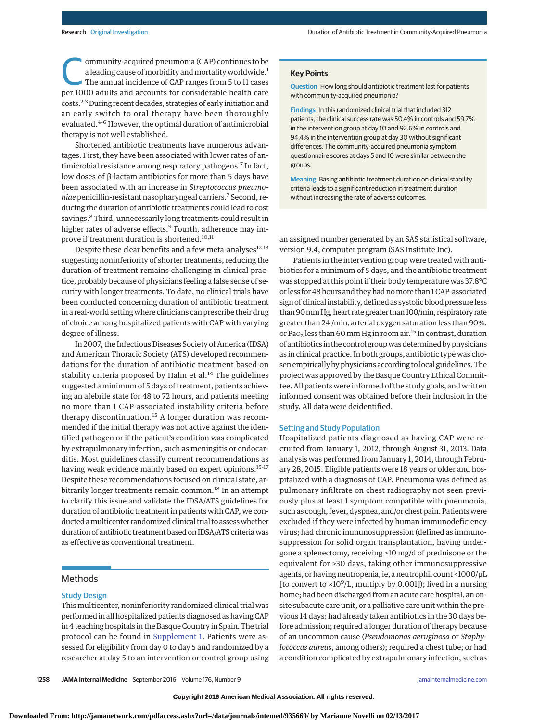ommunity-acquired pneumonia (CAP) continues to be<br>
a leading cause of morbidity and mortality worldwide.<sup>1</sup><br>
The annual incidence of CAP ranges from 5 to 11 cases<br>
per 1000 adults and accounts for considerable health care a leading cause of morbidity and mortality worldwide.<sup>1</sup> per 1000 adults and accounts for considerable health care costs.2,3During recent decades, strategies of early initiation and an early switch to oral therapy have been thoroughly evaluated.4-6 However, the optimal duration of antimicrobial therapy is not well established.

Shortened antibiotic treatments have numerous advantages. First, they have been associated with lower rates of antimicrobial resistance among respiratory pathogens.<sup>7</sup> In fact, low doses of β-lactam antibiotics for more than 5 days have been associated with an increase in *Streptococcus pneumoniae* penicillin-resistant nasopharyngeal carriers.7 Second, reducing the duration of antibiotic treatments could lead to cost savings.<sup>8</sup> Third, unnecessarily long treatments could result in higher rates of adverse effects.<sup>9</sup> Fourth, adherence may improve if treatment duration is shortened.<sup>10,11</sup>

Despite these clear benefits and a few meta-analyses<sup>12,13</sup> suggesting noninferiority of shorter treatments, reducing the duration of treatment remains challenging in clinical practice, probably because of physicians feeling a false sense of security with longer treatments. To date, no clinical trials have been conducted concerning duration of antibiotic treatment in a real-world setting where clinicians can prescribe their drug of choice among hospitalized patients with CAP with varying degree of illness.

In 2007, the Infectious Diseases Society of America (IDSA) and American Thoracic Society (ATS) developed recommendations for the duration of antibiotic treatment based on stability criteria proposed by Halm et al.<sup>14</sup> The guidelines suggested a minimum of 5 days of treatment, patients achieving an afebrile state for 48 to 72 hours, and patients meeting no more than 1 CAP-associated instability criteria before therapy discontinuation.<sup>15</sup> A longer duration was recommended if the initial therapy was not active against the identified pathogen or if the patient's condition was complicated by extrapulmonary infection, such as meningitis or endocarditis. Most guidelines classify current recommendations as having weak evidence mainly based on expert opinions.<sup>15-17</sup> Despite these recommendations focused on clinical state, arbitrarily longer treatments remain common.<sup>18</sup> In an attempt to clarify this issue and validate the IDSA/ATS guidelines for duration of antibiotic treatment in patients with CAP, we conducted a multicenter randomized clinical trial to assess whether duration of antibiotic treatment based on IDSA/ATS criteria was as effective as conventional treatment.

# **Methods**

## Study Design

This multicenter, noninferiority randomized clinical trial was performed in all hospitalized patients diagnosed as having CAP in 4 teaching hospitals in the Basque Country in Spain. The trial protocol can be found in [Supplement 1.](http://jama.jamanetwork.com/article.aspx?doi=10.1001/jamainternmed.2016.3633&utm_campaign=articlePDF%26utm_medium=articlePDFlink%26utm_source=articlePDF%26utm_content=jamainternmed.2016.3633) Patients were assessed for eligibility from day 0 to day 5 and randomized by a researcher at day 5 to an intervention or control group using **Question** How long should antibiotic treatment last for patients with community-acquired pneumonia?

**Findings** In this randomized clinical trial that included 312 patients, the clinical success rate was 50.4% in controls and 59.7% in the intervention group at day 10 and 92.6% in controls and 94.4% in the intervention group at day 30 without significant differences. The community-acquired pneumonia symptom questionnaire scores at days 5 and 10 were similar between the groups.

**Meaning** Basing antibiotic treatment duration on clinical stability criteria leads to a significant reduction in treatment duration without increasing the rate of adverse outcomes.

an assigned number generated by an SAS statistical software, version 9.4, computer program (SAS Institute Inc).

Patients in the intervention group were treated with antibiotics for a minimum of 5 days, and the antibiotic treatment was stopped at this point if their body temperature was 37.8°C or less for 48 hours and they had nomore than 1 CAP-associated sign of clinical instability, defined as systolic blood pressure less than 90 mm Hg, heart rate greater than 100/min, respiratory rate greater than 24 /min, arterial oxygen saturation less than 90%, or Pa $O<sub>2</sub>$  less than 60 mm Hg in room air.<sup>15</sup> In contrast, duration of antibiotics in the control groupwas determined by physicians as in clinical practice. In both groups, antibiotic type was chosen empirically by physicians according to local guidelines. The project was approved by the Basque Country Ethical Committee. All patients were informed of the study goals, and written informed consent was obtained before their inclusion in the study. All data were deidentified.

#### Setting and Study Population

Hospitalized patients diagnosed as having CAP were recruited from January 1, 2012, through August 31, 2013. Data analysis was performed from January 1, 2014, through February 28, 2015. Eligible patients were 18 years or older and hospitalized with a diagnosis of CAP. Pneumonia was defined as pulmonary infiltrate on chest radiography not seen previously plus at least 1 symptom compatible with pneumonia, such as cough, fever, dyspnea, and/or chest pain. Patients were excluded if they were infected by human immunodeficiency virus; had chronic immunosuppression (defined as immunosuppression for solid organ transplantation, having undergone a splenectomy, receiving ≥10 mg/d of prednisone or the equivalent for >30 days, taking other immunosuppressive agents, or having neutropenia, ie, a neutrophil count <1000/μL [to convert to  $\times 10^9$ /L, multiply by 0.001]); lived in a nursing home; had been discharged from an acute care hospital, an onsite subacute care unit, or a palliative care unit within the previous 14 days; had already taken antibiotics in the 30 days before admission; required a longer duration of therapy because of an uncommon cause (*Pseudomonas aeruginosa* or *Staphylococcus aureus*, among others); required a chest tube; or had a condition complicated by extrapulmonary infection, such as

**Copyright 2016 American Medical Association. All rights reserved.**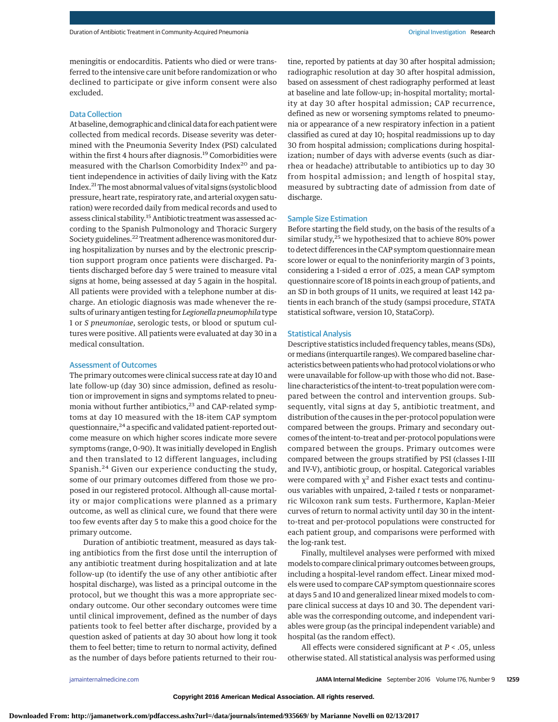meningitis or endocarditis. Patients who died or were transferred to the intensive care unit before randomization or who declined to participate or give inform consent were also excluded.

## Data Collection

At baseline, demographic and clinical data for each patient were collected from medical records. Disease severity was determined with the Pneumonia Severity Index (PSI) calculated within the first 4 hours after diagnosis.<sup>19</sup> Comorbidities were measured with the Charlson Comorbidity Index<sup>20</sup> and patient independence in activities of daily living with the Katz Index.<sup>21</sup> The most abnormal values of vital signs (systolic blood pressure, heart rate, respiratory rate, and arterial oxygen saturation) were recorded daily from medical records and used to assess clinical stability.<sup>15</sup> Antibiotic treatment was assessed according to the Spanish Pulmonology and Thoracic Surgery Society guidelines.<sup>22</sup> Treatment adherence was monitored during hospitalization by nurses and by the electronic prescription support program once patients were discharged. Patients discharged before day 5 were trained to measure vital signs at home, being assessed at day 5 again in the hospital. All patients were provided with a telephone number at discharge. An etiologic diagnosis was made whenever the results of urinary antigen testing for*Legionella pneumophila* type 1 or *S pneumoniae*, serologic tests, or blood or sputum cultures were positive. All patients were evaluated at day 30 in a medical consultation.

## Assessment of Outcomes

The primary outcomes were clinical success rate at day 10 and late follow-up (day 30) since admission, defined as resolution or improvement in signs and symptoms related to pneumonia without further antibiotics,<sup>23</sup> and CAP-related symptoms at day 10 measured with the 18-item CAP symptom questionnaire, $24$  a specific and validated patient-reported outcome measure on which higher scores indicate more severe symptoms (range, 0-90). It was initially developed in English and then translated to 12 different languages, including Spanish.<sup>24</sup> Given our experience conducting the study, some of our primary outcomes differed from those we proposed in our registered protocol. Although all-cause mortality or major complications were planned as a primary outcome, as well as clinical cure, we found that there were too few events after day 5 to make this a good choice for the primary outcome.

Duration of antibiotic treatment, measured as days taking antibiotics from the first dose until the interruption of any antibiotic treatment during hospitalization and at late follow-up (to identify the use of any other antibiotic after hospital discharge), was listed as a principal outcome in the protocol, but we thought this was a more appropriate secondary outcome. Our other secondary outcomes were time until clinical improvement, defined as the number of days patients took to feel better after discharge, provided by a question asked of patients at day 30 about how long it took them to feel better; time to return to normal activity, defined as the number of days before patients returned to their routine, reported by patients at day 30 after hospital admission; radiographic resolution at day 30 after hospital admission, based on assessment of chest radiography performed at least at baseline and late follow-up; in-hospital mortality; mortality at day 30 after hospital admission; CAP recurrence, defined as new or worsening symptoms related to pneumonia or appearance of a new respiratory infection in a patient classified as cured at day 10; hospital readmissions up to day 30 from hospital admission; complications during hospitalization; number of days with adverse events (such as diarrhea or headache) attributable to antibiotics up to day 30 from hospital admission; and length of hospital stay, measured by subtracting date of admission from date of discharge.

## Sample Size Estimation

Before starting the field study, on the basis of the results of a similar study,<sup>25</sup> we hypothesized that to achieve 80% power to detect differences in the CAP symptom questionnaire mean score lower or equal to the noninferiority margin of 3 points, considering a 1-sided α error of .025, a mean CAP symptom questionnaire score of 18 points in each group of patients, and an SD in both groups of 11 units, we required at least 142 patients in each branch of the study (sampsi procedure, STATA statistical software, version 10, StataCorp).

## Statistical Analysis

Descriptive statistics included frequency tables, means (SDs), or medians (interquartile ranges).We compared baseline characteristics between patients who had protocol violations or who were unavailable for follow-up with those who did not. Baseline characteristics of the intent-to-treat population were compared between the control and intervention groups. Subsequently, vital signs at day 5, antibiotic treatment, and distribution of the causes in the per-protocol population were compared between the groups. Primary and secondary outcomes of the intent-to-treat and per-protocol populations were compared between the groups. Primary outcomes were compared between the groups stratified by PSI (classes I-III and IV-V), antibiotic group, or hospital. Categorical variables were compared with  $\chi^2$  and Fisher exact tests and continuous variables with unpaired, 2-tailed *t* tests or nonparametric Wilcoxon rank sum tests. Furthermore, Kaplan-Meier curves of return to normal activity until day 30 in the intentto-treat and per-protocol populations were constructed for each patient group, and comparisons were performed with the log-rank test.

Finally, multilevel analyses were performed with mixed models to compare clinical primary outcomes between groups, including a hospital-level random effect. Linear mixed models were used to compare CAP symptom questionnaire scores at days 5 and 10 and generalized linear mixed models to compare clinical success at days 10 and 30. The dependent variable was the corresponding outcome, and independent variables were group (as the principal independent variable) and hospital (as the random effect).

All effects were considered significant at *P* < .05, unless otherwise stated. All statistical analysis was performed using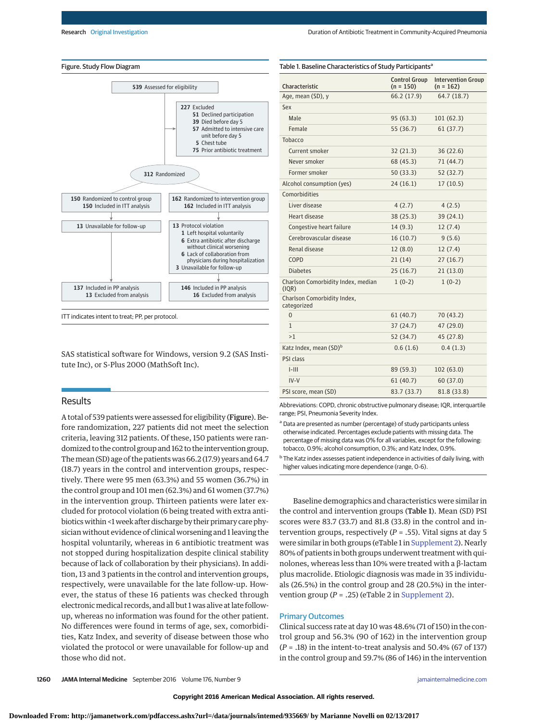

ITT indicates intent to treat; PP, per protocol.

SAS statistical software for Windows, version 9.2 (SAS Institute Inc), or S-Plus 2000 (MathSoft Inc).

# **Results**

A total of 539 patients were assessed for eligibility (Figure). Before randomization, 227 patients did not meet the selection criteria, leaving 312 patients. Of these, 150 patients were randomized to the control group and 162 to the intervention group. Themean (SD) age of the patients was 66.2 (17.9) years and 64.7 (18.7) years in the control and intervention groups, respectively. There were 95 men (63.3%) and 55 women (36.7%) in the control group and 101 men (62.3%) and 61 women (37.7%) in the intervention group. Thirteen patients were later excluded for protocol violation (6 being treated with extra antibiotics within <1 week after discharge by their primary care physician without evidence of clinical worsening and 1 leaving the hospital voluntarily, whereas in 6 antibiotic treatment was not stopped during hospitalization despite clinical stability because of lack of collaboration by their physicians). In addition, 13 and 3 patients in the control and intervention groups, respectively, were unavailable for the late follow-up. However, the status of these 16 patients was checked through electronic medical records, and all but 1 was alive at late followup, whereas no information was found for the other patient. No differences were found in terms of age, sex, comorbidities, Katz Index, and severity of disease between those who violated the protocol or were unavailable for follow-up and those who did not.

Characteristic Control Group  $(n = 150)$ Intervention Group  $(n = 162)$ Age, mean (SD), y 66.2 (17.9) 64.7 (18.7) Sex Male 95 (63.3) 101 (62.3) Female 55 (36.7) 61 (37.7) Tobacco Current smoker 32 (21.3) 36 (22.6) Never smoker 68 (45.3) 71 (44.7) Former smoker 50 (33.3) 52 (32.7) Alcohol consumption (yes) 24 (16.1) 17 (10.5) Comorbidities Liver disease 4 (2.7) 4 (2.5) Heart disease 38 (25.3) 39 (24.1) Congestive heart failure 14 (9.3) 12 (7.4) Cerebrovascular disease 16 (10.7) 9 (5.6) Renal disease 12 (8.0) 12 (7.4) COPD 21 (14) 27 (16.7) Diabetes 25 (16.7) 21 (13.0) Charlson Comorbidity Index, median (IQR) 1 (0-2) 1 (0-2) Charlson Comorbidity Index, categorized 0 61 (40.7) 70 (43.2) 1 37 (24.7) 47 (29.0) >1 52 (34.7) 45 (27.8) Katz Index, mean  $(SD)^b$  0.6 (1.6) 0.4 (1.3) PSI class I-III 89 (59.3) 102 (63.0)  $IV-V$  61 (40.7) 60 (37.0) PSI score, mean (SD) 83.7 (33.7) 81.8 (33.8)

Table 1. Baseline Characteristics of Study Participants<sup>a</sup>

| Abbreviations: COPD, chronic obstructive pulmonary disease; IQR, interquartile |  |
|--------------------------------------------------------------------------------|--|
| range; PSI, Pneumonia Severity Index.                                          |  |

a Data are presented as number (percentage) of study participants unless otherwise indicated. Percentages exclude patients with missing data. The percentage of missing data was 0% for all variables, except for the following: tobacco, 0.9%; alcohol consumption, 0.3%; and Katz Index, 0.9%.

<sup>b</sup> The Katz index assesses patient independence in activities of daily living, with higher values indicating more dependence (range, 0-6).

Baseline demographics and characteristics were similar in the control and intervention groups (Table 1). Mean (SD) PSI scores were 83.7 (33.7) and 81.8 (33.8) in the control and intervention groups, respectively (*P* = .55). Vital signs at day 5 were similar in both groups (eTable 1 in [Supplement 2\)](http://jama.jamanetwork.com/article.aspx?doi=10.1001/jamainternmed.2016.3633&utm_campaign=articlePDF%26utm_medium=articlePDFlink%26utm_source=articlePDF%26utm_content=jamainternmed.2016.3633). Nearly 80% of patients in both groups underwent treatment with quinolones, whereas less than 10% were treated with a β-lactam plus macrolide. Etiologic diagnosis was made in 35 individuals (26.5%) in the control group and 28 (20.5%) in the intervention group  $(P = .25)$  (eTable 2 in [Supplement 2\)](http://jama.jamanetwork.com/article.aspx?doi=10.1001/jamainternmed.2016.3633&utm_campaign=articlePDF%26utm_medium=articlePDFlink%26utm_source=articlePDF%26utm_content=jamainternmed.2016.3633).

# Primary Outcomes

Clinical success rate at day 10 was 48.6% (71 of 150) in the control group and 56.3% (90 of 162) in the intervention group (*P* = .18) in the intent-to-treat analysis and 50.4% (67 of 137) in the control group and 59.7% (86 of 146) in the intervention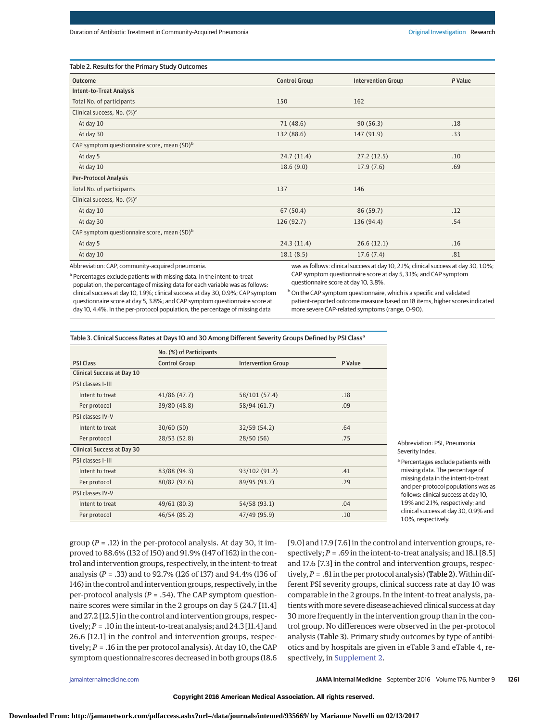| Table 2. Results for the Primary Study Outcomes         |                      |                                                                                       |         |  |
|---------------------------------------------------------|----------------------|---------------------------------------------------------------------------------------|---------|--|
| Outcome                                                 | <b>Control Group</b> | <b>Intervention Group</b>                                                             | P Value |  |
| Intent-to-Treat Analysis                                |                      |                                                                                       |         |  |
| Total No. of participants                               | 150                  | 162                                                                                   |         |  |
| Clinical success, No. $(\%)^a$                          |                      |                                                                                       |         |  |
| At day 10                                               | 71 (48.6)            | 90(56.3)                                                                              | .18     |  |
| At day 30                                               | 132 (88.6)           | 147 (91.9)                                                                            | .33     |  |
| CAP symptom questionnaire score, mean (SD) <sup>b</sup> |                      |                                                                                       |         |  |
| At day 5                                                | 24.7(11.4)           | 27.2(12.5)                                                                            | .10     |  |
| At day 10                                               | 18.6(9.0)            | 17.9(7.6)                                                                             | .69     |  |
| <b>Per-Protocol Analysis</b>                            |                      |                                                                                       |         |  |
| Total No. of participants                               | 137                  | 146                                                                                   |         |  |
| Clinical success, No. (%) <sup>a</sup>                  |                      |                                                                                       |         |  |
| At day 10                                               | 67(50.4)             | 86 (59.7)                                                                             | .12     |  |
| At day 30                                               | 126(92.7)            | 136 (94.4)                                                                            | .54     |  |
| CAP symptom questionnaire score, mean (SD) <sup>b</sup> |                      |                                                                                       |         |  |
| At day 5                                                | 24.3(11.4)           | 26.6(12.1)                                                                            | .16     |  |
| At day 10                                               | 18.1(8.5)            | 17.6(7.4)                                                                             | .81     |  |
| Abbroviation, CAD community acquired pnoumonia          |                      | ups as follows, clinical success at day 10, 2,10/, clinical success at day 20, 1,00/. |         |  |

iation: CAP, community-acquired pneumoni

<sup>a</sup> Percentages exclude patients with missing data. In the intent-to-treat population, the percentage of missing data for each variable was as follows: clinical success at day 10, 1.9%; clinical success at day 30, 0.9%; CAP symptom questionnaire score at day 5, 3.8%; and CAP symptom questionnaire score at day 10, 4.4%. In the per-protocol population, the percentage of missing data

ws: clinical success at day 10, 2.1% CAP symptom questionnaire score at day 5, 3.1%; and CAP symptom questionnaire score at day 10, 3.8%.

b On the CAP symptom questionnaire, which is a specific and validated patient-reported outcome measure based on 18 items, higher scores indicated more severe CAP-related symptoms (range, 0-90).

| Table 3. Clinical Success Rates at Days 10 and 30 Among Different Severity Groups Defined by PSI Class <sup>a</sup> |                         |                           |         |  |
|---------------------------------------------------------------------------------------------------------------------|-------------------------|---------------------------|---------|--|
|                                                                                                                     | No. (%) of Participants |                           |         |  |
| <b>PSI Class</b>                                                                                                    | <b>Control Group</b>    | <b>Intervention Group</b> | P Value |  |
| <b>Clinical Success at Day 10</b>                                                                                   |                         |                           |         |  |
| PSI classes I-III                                                                                                   |                         |                           |         |  |
| Intent to treat                                                                                                     | 41/86 (47.7)            | 58/101 (57.4)             | .18     |  |
| Per protocol                                                                                                        | 39/80 (48.8)            | 58/94 (61.7)              | .09     |  |
| PSI classes IV-V                                                                                                    |                         |                           |         |  |
| Intent to treat                                                                                                     | 30/60(50)               | 32/59 (54.2)              | .64     |  |
| Per protocol                                                                                                        | 28/53 (52.8)            | 28/50(56)                 | .75     |  |
| Clinical Success at Day 30                                                                                          |                         |                           |         |  |
| PSI classes I-III                                                                                                   |                         |                           |         |  |
| Intent to treat                                                                                                     | 83/88 (94.3)            | 93/102 (91.2)             | .41     |  |
| Per protocol                                                                                                        | 80/82 (97.6)            | 89/95 (93.7)              | .29     |  |
| PSI classes IV-V                                                                                                    |                         |                           |         |  |
| Intent to treat                                                                                                     | 49/61 (80.3)            | 54/58 (93.1)              | .04     |  |
| Per protocol                                                                                                        | 46/54 (85.2)            | 47/49 (95.9)              | .10     |  |

Abbreviation: PSI, Pneumonia Severity Index.

<sup>a</sup> Percentages exclude patients with missing data. The percentage of missing data in the intent-to-treat and per-protocol populations was as follows: clinical success at day 10, 1.9% and 2.1%, respectively; and clinical success at day 30, 0.9% and 1.0%, respectively.

group (*P* = .12) in the per-protocol analysis. At day 30, it improved to 88.6% (132 of 150) and 91.9% (147 of 162) in the control and intervention groups, respectively, in the intent-to treat analysis (*P* = .33) and to 92.7% (126 of 137) and 94.4% (136 of 146) in the control and intervention groups, respectively, in the per-protocol analysis (*P* = .54). The CAP symptom questionnaire scores were similar in the 2 groups on day 5 (24.7 [11.4] and 27.2 [12.5] in the control and intervention groups, respectively;*P* = .10 in the intent-to-treat analysis; and 24.3 [11.4] and 26.6 [12.1] in the control and intervention groups, respectively; *P* = .16 in the per protocol analysis). At day 10, the CAP symptom questionnaire scores decreased in both groups (18.6

[9.0] and 17.9 [7.6] in the control and intervention groups, respectively;  $P = .69$  in the intent-to-treat analysis; and  $18.1$  [8.5] and 17.6 [7.3] in the control and intervention groups, respectively,  $P = .81$  in the per protocol analysis) (**Table 2**). Within different PSI severity groups, clinical success rate at day 10 was comparable in the 2 groups. In the intent-to treat analysis, patients with more severe disease achieved clinical success at day 30 more frequently in the intervention group than in the control group. No differences were observed in the per-protocol analysis (Table 3). Primary study outcomes by type of antibiotics and by hospitals are given in eTable 3 and eTable 4, respectively, in [Supplement 2.](http://jama.jamanetwork.com/article.aspx?doi=10.1001/jamainternmed.2016.3633&utm_campaign=articlePDF%26utm_medium=articlePDFlink%26utm_source=articlePDF%26utm_content=jamainternmed.2016.3633)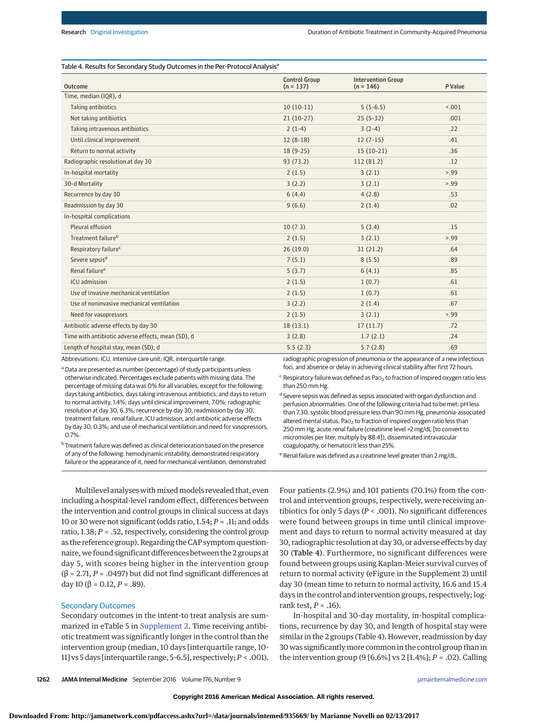## Table 4. Results for Secondary Study Outcomes in the Per-Protocol Analysis<sup>a</sup>

| Outcome                                                            | <b>Control Group</b><br>$(n = 137)$ | <b>Intervention Group</b><br>$(n = 146)$                                    | P Value |  |
|--------------------------------------------------------------------|-------------------------------------|-----------------------------------------------------------------------------|---------|--|
| Time, median (IQR), d                                              |                                     |                                                                             |         |  |
| Taking antibiotics                                                 | $10(10-11)$                         | $5(5-6.5)$                                                                  | < .001  |  |
| Not taking antibiotics                                             | $21(10-27)$                         | $25(5-32)$                                                                  | .001    |  |
| Taking intravenous antibiotics                                     | $2(1-4)$                            | $3(2-4)$                                                                    | .22     |  |
| Until clinical improvement                                         | $12(8-18)$                          | $12(7-15)$                                                                  | .41     |  |
| Return to normal activity                                          | $18(9-25)$                          | $15(10-21)$                                                                 | .36     |  |
| Radiographic resolution at day 30                                  | 93(73.2)                            | 112 (81.2)                                                                  | .12     |  |
| In-hospital mortality                                              | 2(1.5)                              | 3(2.1)                                                                      | > 99    |  |
| 30-d Mortality                                                     | 3(2.2)                              | 3(2.1)                                                                      | > 99    |  |
| Recurrence by day 30                                               | 6(4.4)                              | 4(2.8)                                                                      | .53     |  |
| Readmission by day 30                                              | 9(6.6)                              | 2(1.4)                                                                      | .02     |  |
| In-hospital complications                                          |                                     |                                                                             |         |  |
| Pleural effusion                                                   | 10(7.3)                             | 5(3.4)                                                                      | .15     |  |
| Treatment failure <sup>b</sup>                                     | 2(1.5)                              | 3(2.1)                                                                      | > 0.99  |  |
| Respiratory failure <sup>c</sup>                                   | 26(19.0)                            | 31(21.2)                                                                    | .64     |  |
| Severe sepsis <sup>d</sup>                                         | 7(5.1)                              | 8(5.5)                                                                      | .89     |  |
| Renal failure <sup>e</sup>                                         | 5(3.7)                              | 6(4.1)                                                                      | .85     |  |
| ICU admission                                                      | 2(1.5)                              | 1(0.7)                                                                      | .61     |  |
| Use of invasive mechanical ventilation                             | 2(1.5)                              | 1(0.7)                                                                      | .61     |  |
| Use of noninvasive mechanical ventilation                          | 3(2.2)                              | 2(1.4)                                                                      | .67     |  |
| Need for vasopressors                                              | 2(1.5)                              | 3(2.1)                                                                      | > 99    |  |
| Antibiotic adverse effects by day 30                               | 18(13.1)                            | 17(11.7)                                                                    | .72     |  |
| Time with antibiotic adverse effects, mean (SD), d                 | 3(2.8)                              | 1.7(2.1)                                                                    | .24     |  |
| Length of hospital stay, mean (SD), d                              | 5.5(2.3)                            | 5.7(2.8)                                                                    | .69     |  |
| Abbreviations: ICU, intensive care unit; IQR, interquartile range. |                                     | radiographic progression of pneumonia or the appearance of a new infectious |         |  |

<sup>a</sup> Data are presented as number (percentage) of study participants unless otherwise indicated. Percentages exclude patients with missing data. The percentage of missing data was 0% for all variables, except for the following: days taking antibiotics, days taking intravenous antibiotics, and days to return to normal activity, 1.4%; days until clinical improvement, 7.0%; radiographic resolution at day 30, 6.3%; recurrence by day 30, readmission by day 30, treatment failure, renal failure, ICU admission, and antibiotic adverse effects by day 30, 0.3%; and use of mechanical ventilation and need for vasopressors, 0.7%.

**b** Treatment failure was defined as clinical deterioration based on the presence of any of the following: hemodynamic instability, demonstrated respiratory failure or the appearance of it, need for mechanical ventilation, demonstrated

radiographic progression of pneumonia or the appearance of a new infectious foci, and absence or delay in achieving clinical stability after first 72 hours.

 $c$  Respiratory failure was defined as Pao<sub>2</sub> to fraction of inspired oxygen ratio less than 250 mm Hg.

<sup>d</sup> Severe sepsis was defined as sepsis associated with organ dysfunction and perfusion abnormalities. One of the following criteria had to be met: pH less than 7.30, systolic blood pressure less than 90 mm Hg, pneumonia-associated altered mental status, Pa $o_2$  to fraction of inspired oxygen ratio less than 250 mm Hg, acute renal failure (creatinine level >2 mg/dL [to convert to micromoles per liter, multiply by 88.4]), disseminated intravascular coagulopathy, or hematocrit less than 25%.

<sup>e</sup> Renal failure was defined as a creatinine level greater than 2 mg/dL.

Multilevel analyses with mixed models revealed that, even including a hospital-level random effect, differences between the intervention and control groups in clinical success at days 10 or 30 were not significant (odds ratio, 1.54; *P* = .11; and odds ratio, 1.38; *P* = .52, respectively, considering the control group as the reference group). Regarding the CAP symptom questionnaire, we found significant differences between the 2 groups at day 5, with scores being higher in the intervention group (β = 2.71, *P* = .0497) but did not find significant differences at day 10 (β = 0.12, *P* = .89).

## Secondary Outcomes

Secondary outcomes in the intent-to treat analysis are summarized in eTable 5 in [Supplement 2.](http://jama.jamanetwork.com/article.aspx?doi=10.1001/jamainternmed.2016.3633&utm_campaign=articlePDF%26utm_medium=articlePDFlink%26utm_source=articlePDF%26utm_content=jamainternmed.2016.3633) Time receiving antibiotic treatment was significantly longer in the control than the intervention group (median, 10 days [interquartile range, 10- 11] vs 5 days [interquartile range, 5-6.5], respectively;*P* < .001). Four patients (2.9%) and 101 patients (70.1%) from the control and intervention groups, respectively, were receiving antibiotics for only 5 days (*P* < .001). No significant differences were found between groups in time until clinical improvement and days to return to normal activity measured at day 30, radiographic resolution at day 30, or adverse effects by day 30 (Table 4). Furthermore, no significant differences were found between groups using Kaplan-Meier survival curves of return to normal activity (eFigure in the Supplement 2) until day 30 (mean time to return to normal activity, 16.6 and 15.4 days in the control and intervention groups, respectively; logrank test, *P* = .16).

In-hospital and 30-day mortality, in-hospital complications, recurrence by day 30, and length of hospital stay were similar in the 2 groups (Table 4). However, readmission by day 30 was significantlymore common in the control group than in the intervention group (9 [6.6%] vs 2 [1.4%]; *P* = .02). Calling

**1262 JAMA Internal Medicine** September 2016 Volume 176, Number 9 **(Reprinted)** [jamainternalmedicine.com](http://www.jamainternalmedicine.com/?utm_campaign=articlePDF%26utm_medium=articlePDFlink%26utm_source=articlePDF%26utm_content=jamainternmed.2016.3633)

**Downloaded From: http://jamanetwork.com/pdfaccess.ashx?url=/data/journals/intemed/935669/ by Marianne Novelli on 02/13/2017**

**Copyright 2016 American Medical Association. All rights reserved.**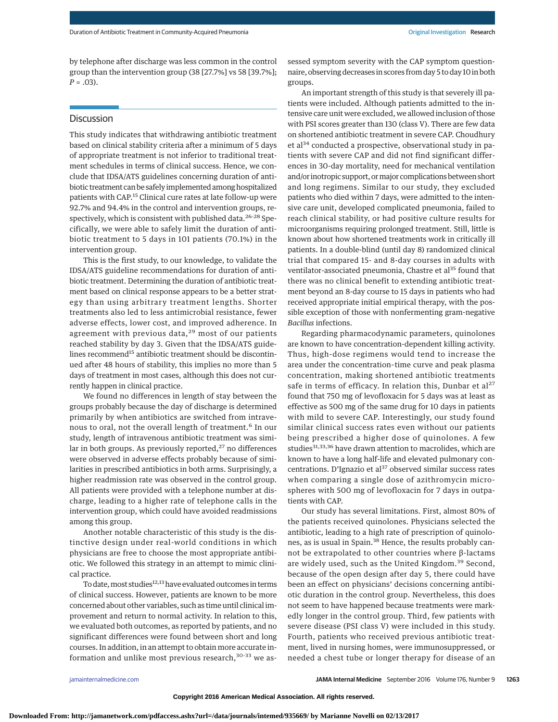by telephone after discharge was less common in the control group than the intervention group (38 [27.7%] vs 58 [39.7%]; *P* = .03).

# **Discussion**

This study indicates that withdrawing antibiotic treatment based on clinical stability criteria after a minimum of 5 days of appropriate treatment is not inferior to traditional treatment schedules in terms of clinical success. Hence, we conclude that IDSA/ATS guidelines concerning duration of antibiotic treatment can be safely implemented among hospitalized patients with CAP.15 Clinical cure rates at late follow-up were 92.7% and 94.4% in the control and intervention groups, respectively, which is consistent with published data.<sup>26-28</sup> Specifically, we were able to safely limit the duration of antibiotic treatment to 5 days in 101 patients (70.1%) in the intervention group.

This is the first study, to our knowledge, to validate the IDSA/ATS guideline recommendations for duration of antibiotic treatment. Determining the duration of antibiotic treatment based on clinical response appears to be a better strategy than using arbitrary treatment lengths. Shorter treatments also led to less antimicrobial resistance, fewer adverse effects, lower cost, and improved adherence. In agreement with previous data, $29$  most of our patients reached stability by day 3. Given that the IDSA/ATS guidelines recommend<sup>15</sup> antibiotic treatment should be discontinued after 48 hours of stability, this implies no more than 5 days of treatment in most cases, although this does not currently happen in clinical practice.

We found no differences in length of stay between the groups probably because the day of discharge is determined primarily by when antibiotics are switched from intravenous to oral, not the overall length of treatment.<sup>6</sup> In our study, length of intravenous antibiotic treatment was similar in both groups. As previously reported, $27$  no differences were observed in adverse effects probably because of similarities in prescribed antibiotics in both arms. Surprisingly, a higher readmission rate was observed in the control group. All patients were provided with a telephone number at discharge, leading to a higher rate of telephone calls in the intervention group, which could have avoided readmissions among this group.

Another notable characteristic of this study is the distinctive design under real-world conditions in which physicians are free to choose the most appropriate antibiotic. We followed this strategy in an attempt to mimic clinical practice.

To date, most studies<sup>12,13</sup> have evaluated outcomes in terms of clinical success. However, patients are known to be more concerned about other variables, such as time until clinical improvement and return to normal activity. In relation to this, we evaluated both outcomes, as reported by patients, and no significant differences were found between short and long courses. In addition, in an attempt to obtain more accurate information and unlike most previous research, $30-33$  we assessed symptom severity with the CAP symptom questionnaire, observing decreases in scores from day 5 to day 10 in both groups.

An important strength of this study is that severely ill patients were included. Although patients admitted to the intensive care unit were excluded, we allowed inclusion of those with PSI scores greater than 130 (class V). There are few data on shortened antibiotic treatment in severe CAP. Choudhury et al<sup>34</sup> conducted a prospective, observational study in patients with severe CAP and did not find significant differences in 30-day mortality, need for mechanical ventilation and/or inotropic support, or major complications between short and long regimens. Similar to our study, they excluded patients who died within 7 days, were admitted to the intensive care unit, developed complicated pneumonia, failed to reach clinical stability, or had positive culture results for microorganisms requiring prolonged treatment. Still, little is known about how shortened treatments work in critically ill patients. In a double-blind (until day 8) randomized clinical trial that compared 15- and 8-day courses in adults with ventilator-associated pneumonia, Chastre et al<sup>35</sup> found that there was no clinical benefit to extending antibiotic treatment beyond an 8-day course to 15 days in patients who had received appropriate initial empirical therapy, with the possible exception of those with nonfermenting gram-negative *Bacillus* infections.

Regarding pharmacodynamic parameters, quinolones are known to have concentration-dependent killing activity. Thus, high-dose regimens would tend to increase the area under the concentration–time curve and peak plasma concentration, making shortened antibiotic treatments safe in terms of efficacy. In relation this, Dunbar et al<sup>27</sup> found that 750 mg of levofloxacin for 5 days was at least as effective as 500 mg of the same drug for 10 days in patients with mild to severe CAP. Interestingly, our study found similar clinical success rates even without our patients being prescribed a higher dose of quinolones. A few studies<sup>31,33,36</sup> have drawn attention to macrolides, which are known to have a long half-life and elevated pulmonary concentrations. D'Ignazio et al $37$  observed similar success rates when comparing a single dose of azithromycin microspheres with 500 mg of levofloxacin for 7 days in outpatients with CAP.

Our study has several limitations. First, almost 80% of the patients received quinolones. Physicians selected the antibiotic, leading to a high rate of prescription of quinolones, as is usual in Spain.<sup>38</sup> Hence, the results probably cannot be extrapolated to other countries where β-lactams are widely used, such as the United Kingdom.<sup>39</sup> Second, because of the open design after day 5, there could have been an effect on physicians' decisions concerning antibiotic duration in the control group. Nevertheless, this does not seem to have happened because treatments were markedly longer in the control group. Third, few patients with severe disease (PSI class V) were included in this study. Fourth, patients who received previous antibiotic treatment, lived in nursing homes, were immunosuppressed, or needed a chest tube or longer therapy for disease of an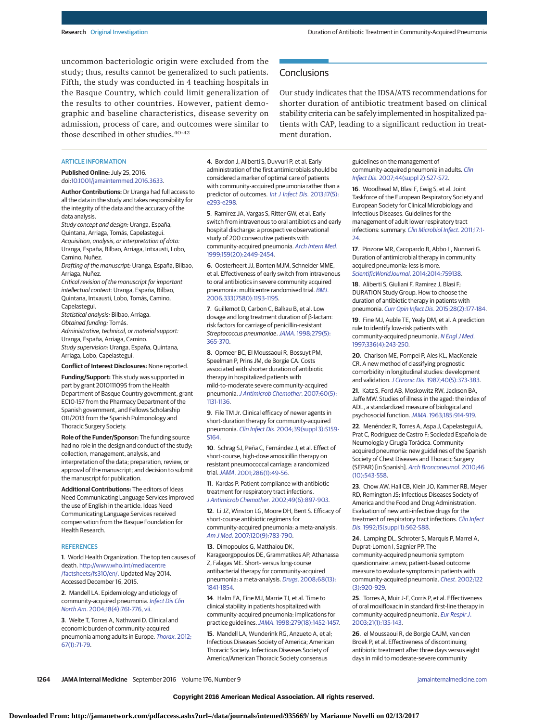uncommon bacteriologic origin were excluded from the study; thus, results cannot be generalized to such patients. Fifth, the study was conducted in 4 teaching hospitals in the Basque Country, which could limit generalization of the results to other countries. However, patient demographic and baseline characteristics, disease severity on admission, process of care, and outcomes were similar to those described in other studies.<sup>40-42</sup>

Our study indicates that the IDSA/ATS recommendations for shorter duration of antibiotic treatment based on clinical stability criteria can be safely implemented in hospitalized patients with CAP, leading to a significant reduction in treatment duration.

## ARTICLE INFORMATION

**Published Online:** July 25, 2016. doi[:10.1001/jamainternmed.2016.3633.](http://jama.jamanetwork.com/article.aspx?doi=10.1001/jamainternmed.2016.3633&utm_campaign=articlePDF%26utm_medium=articlePDFlink%26utm_source=articlePDF%26utm_content=jamainternmed.2016.3633)

**Author Contributions:** Dr Uranga had full access to all the data in the study and takes responsibility for the integrity of the data and the accuracy of the data analysis.

Study concept and design: Uranga, España, Quintana, Arriaga, Tomás, Capelastegui. Acquisition, analysis, or interpretation of data: Uranga, España, Bilbao, Arriaga, Intxausti, Lobo,

Camino, Nuñez. Drafting of the manuscript: Uranga, España, Bilbao, Arriaga, Nuñez.

Critical revision of the manuscript for important intellectual content: Uranga, España, Bilbao, Quintana, Intxausti, Lobo, Tomás, Camino, Capelastegui.

Statistical analysis: Bilbao, Arriaga. Obtained funding: Tomás.

Administrative, technical, or material support: Uranga, España, Arriaga, Camino. Study supervision: Uranga, España, Quintana,

Arriaga, Lobo, Capelastegui.

## **Conflict of Interest Disclosures:** None reported.

**Funding/Support:** This study was supported in part by grant 2010111095 from the Health Department of Basque Country government, grant EC10-157 from the Pharmacy Department of the Spanish government, and Fellows Scholarship 011/2013 from the Spanish Pulmonology and Thoracic Surgery Society.

**Role of the Funder/Sponsor:** The funding source had no role in the design and conduct of the study; collection, management, analysis, and interpretation of the data; preparation, review, or approval of the manuscript; and decision to submit the manuscript for publication.

**Additional Contributions:** The editors of Ideas Need Communicating Language Services improved the use of English in the article. Ideas Need Communicating Language Services received compensation from the Basque Foundation for Health Research.

#### **REFERENCES**

**1**. World Health Organization. The top ten causes of death. [http://www.who.int/mediacentre](http://www.who.int/mediacentre/factsheets/fs310/en/) [/factsheets/fs310/en/.](http://www.who.int/mediacentre/factsheets/fs310/en/) Updated May 2014. Accessed December 16, 2015.

**2**. Mandell LA. Epidemiology and etiology of community-acquired pneumonia. [Infect Dis Clin](http://www.ncbi.nlm.nih.gov/pubmed/15555823) North Am[. 2004;18\(4\):761-776, vii.](http://www.ncbi.nlm.nih.gov/pubmed/15555823)

**3**. Welte T, Torres A, Nathwani D. Clinical and economic burden of community-acquired pneumonia among adults in Europe. [Thorax](http://www.ncbi.nlm.nih.gov/pubmed/20729232). 2012; [67\(1\):71-79.](http://www.ncbi.nlm.nih.gov/pubmed/20729232)

**4**. Bordon J, Aliberti S, Duvvuri P, et al. Early administration of the first antimicrobials should be considered a marker of optimal care of patients with community-acquired pneumonia rather than a predictor of outcomes. [Int J Infect Dis](http://www.ncbi.nlm.nih.gov/pubmed/23507237). 2013;17(5): [e293-e298.](http://www.ncbi.nlm.nih.gov/pubmed/23507237)

**Conclusions** 

**5**. Ramirez JA, Vargas S, Ritter GW, et al. Early switch from intravenous to oral antibiotics and early hospital discharge: a prospective observational study of 200 consecutive patients with community-acquired pneumonia. [Arch Intern Med](http://www.ncbi.nlm.nih.gov/pubmed/10665893). [1999;159\(20\):2449-2454.](http://www.ncbi.nlm.nih.gov/pubmed/10665893)

**6**. Oosterheert JJ, Bonten MJM, Schneider MME, et al. Effectiveness of early switch from intravenous to oral antibiotics in severe community acquired pneumonia: multicentre randomised trial. [BMJ](http://www.ncbi.nlm.nih.gov/pubmed/17090560). [2006;333\(7580\):1193-1195.](http://www.ncbi.nlm.nih.gov/pubmed/17090560)

**7**. Guillemot D, Carbon C, Balkau B, et al. Low dosage and long treatment duration of β-lactam: risk factors for carriage of penicillin-resistant Streptococcus pneumoniae.JAMA[. 1998;279\(5\):](http://www.ncbi.nlm.nih.gov/pubmed/9459469) [365-370.](http://www.ncbi.nlm.nih.gov/pubmed/9459469)

**8**. Opmeer BC, El Moussaoui R, Bossuyt PM, Speelman P, Prins JM, de Borgie CA. Costs associated with shorter duration of antibiotic therapy in hospitalized patients with mild-to-moderate severe community-acquired pneumonia.[J Antimicrob Chemother](http://www.ncbi.nlm.nih.gov/pubmed/17827142). 2007;60(5): [1131-1136.](http://www.ncbi.nlm.nih.gov/pubmed/17827142)

**9**. File TM Jr. Clinical efficacy of newer agents in short-duration therapy for community-acquired pneumonia. Clin Infect Dis[. 2004;39\(suppl 3\):S159-](http://www.ncbi.nlm.nih.gov/pubmed/15546111) [S164.](http://www.ncbi.nlm.nih.gov/pubmed/15546111)

**10**. Schrag SJ, Peña C, Fernández J, et al. Effect of short-course, high-dose amoxicillin therapy on resistant pneumococcal carriage: a randomized trial.JAMA[. 2001;286\(1\):49-56.](http://www.ncbi.nlm.nih.gov/pubmed/11434826)

**11**. Kardas P. Patient compliance with antibiotic treatment for respiratory tract infections. [J Antimicrob Chemother](http://www.ncbi.nlm.nih.gov/pubmed/12039881). 2002;49(6):897-903.

**12**. Li JZ, Winston LG, Moore DH, Bent S. Efficacy of short-course antibiotic regimens for community-acquired pneumonia: a meta-analysis. Am J Med[. 2007;120\(9\):783-790.](http://www.ncbi.nlm.nih.gov/pubmed/17765048)

**13**. Dimopoulos G, Matthaiou DK, Karageorgopoulos DE, Grammatikos AP, Athanassa Z, Falagas ME. Short- versus long-course antibacterial therapy for community-acquired pneumonia: a meta-analysis. Drugs[. 2008;68\(13\):](http://www.ncbi.nlm.nih.gov/pubmed/18729535) [1841-1854.](http://www.ncbi.nlm.nih.gov/pubmed/18729535)

**14**. Halm EA, Fine MJ, Marrie TJ, et al. Time to clinical stability in patients hospitalized with community-acquired pneumonia: implications for practice guidelines.JAMA[. 1998;279\(18\):1452-1457.](http://www.ncbi.nlm.nih.gov/pubmed/9600479)

**15**. Mandell LA, Wunderink RG, Anzueto A, et al; Infectious Diseases Society of America; American Thoracic Society. Infectious Diseases Society of America/American Thoracic Society consensus

guidelines on the management of community-acquired pneumonia in adults. [Clin](http://www.ncbi.nlm.nih.gov/pubmed/17278083) Infect Dis[. 2007;44\(suppl 2\):S27-S72.](http://www.ncbi.nlm.nih.gov/pubmed/17278083)

**16**. Woodhead M, Blasi F, Ewig S, et al. Joint Taskforce of the European Respiratory Society and European Society for Clinical Microbiology and Infectious Diseases. Guidelines for the management of adult lower respiratory tract infections: summary. [Clin Microbiol Infect](http://www.ncbi.nlm.nih.gov/pubmed/21951384). 2011;17:1- [24.](http://www.ncbi.nlm.nih.gov/pubmed/21951384)

**17**. Pinzone MR, Cacopardo B, Abbo L, Nunnari G. Duration of antimicrobial therapy in community acquired pneumonia: less is more. [ScientificWorldJournal](http://www.ncbi.nlm.nih.gov/pubmed/24578660). 2014;2014:759138.

**18**. Aliberti S, Giuliani F, Ramirez J, Blasi F; DURATION Study Group. How to choose the duration of antibiotic therapy in patients with pneumonia. Curr Opin Infect Dis[. 2015;28\(2\):177-184.](http://www.ncbi.nlm.nih.gov/pubmed/25692271)

**19**. Fine MJ, Auble TE, Yealy DM, et al. A prediction rule to identify low-risk patients with community-acquired pneumonia. [N Engl J Med](http://www.ncbi.nlm.nih.gov/pubmed/8995086). [1997;336\(4\):243-250.](http://www.ncbi.nlm.nih.gov/pubmed/8995086)

**20**. Charlson ME, Pompei P, Ales KL, MacKenzie CR. A new method of classifying prognostic comorbidity in longitudinal studies: development and validation.J Chronic Dis[. 1987;40\(5\):373-383.](http://www.ncbi.nlm.nih.gov/pubmed/3558716)

**21**. Katz S, Ford AB, Moskowitz RW, Jackson BA, Jaffe MW. Studies of illness in the aged: the index of ADL, a standardized measure of biological and psychosocial function.JAMA[. 1963;185:914-919.](http://www.ncbi.nlm.nih.gov/pubmed/14044222)

**22**. Menéndez R, Torres A, Aspa J, Capelastegui A, Prat C, Rodríguez de Castro F; Sociedad Española de Neumología y Cirugía Torácica. Community acquired pneumonia: new guidelines of the Spanish Society of Chest Diseases and Thoracic Surgery (SEPAR) [in Spanish]. [Arch Bronconeumol](http://www.ncbi.nlm.nih.gov/pubmed/20832928). 2010;46 [\(10\):543-558.](http://www.ncbi.nlm.nih.gov/pubmed/20832928)

**23**. Chow AW, Hall CB, Klein JO, Kammer RB, Meyer RD, Remington JS; Infectious Diseases Society of America and the Food and Drug Administration. Evaluation of new anti-infective drugs for the treatment of respiratory tract infections. [Clin Infect](http://www.ncbi.nlm.nih.gov/pubmed/1477253) Dis[. 1992;15\(suppl 1\):S62-S88.](http://www.ncbi.nlm.nih.gov/pubmed/1477253)

**24**. Lamping DL, Schroter S, Marquis P, Marrel A, Duprat-Lomon I, Sagnier PP. The community-acquired pneumonia symptom questionnaire: a new, patient-based outcome measure to evaluate symptoms in patients with community-acquired pneumonia. Chest[. 2002;122](http://www.ncbi.nlm.nih.gov/pubmed/12226033) [\(3\):920-929.](http://www.ncbi.nlm.nih.gov/pubmed/12226033)

**25**. Torres A, Muir J-F, Corris P, et al. Effectiveness of oral moxifloxacin in standard first-line therapy in community-acquired pneumonia. [Eur Respir J](http://www.ncbi.nlm.nih.gov/pubmed/12570122). [2003;21\(1\):135-143.](http://www.ncbi.nlm.nih.gov/pubmed/12570122)

**26**. el Moussaoui R, de Borgie CAJM, van den Broek P, et al. Effectiveness of discontinuing antibiotic treatment after three days versus eight days in mild to moderate-severe community

**1264 JAMA Internal Medicine** September 2016 Volume 176, Number 9 **(Reprinted)** [jamainternalmedicine.com](http://www.jamainternalmedicine.com/?utm_campaign=articlePDF%26utm_medium=articlePDFlink%26utm_source=articlePDF%26utm_content=jamainternmed.2016.3633)